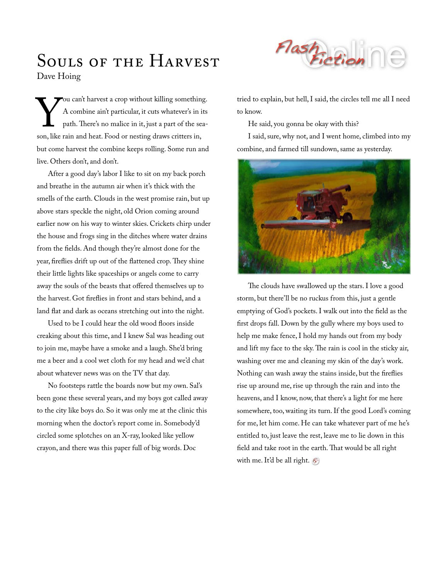## Souls of the HARVEST Dave Hoing

ou can't harvest a crop without killing something. A combine ain't particular, it cuts whatever's in its path. There's no malice in it, just a part of the sea-Sou can't harvest a crop without killing something<br>A combine ain't particular, it cuts whatever's in i<br>path. There's no malice in it, just a part of the sea<br>son, like rain and heat. Food or nesting draws critters in, but come harvest the combine keeps rolling. Some run and live. Others don't, and don't.

After a good day's labor I like to sit on my back porch and breathe in the autumn air when it's thick with the smells of the earth. Clouds in the west promise rain, but up above stars speckle the night, old Orion coming around earlier now on his way to winter skies. Crickets chirp under the house and frogs sing in the ditches where water drains from the fields. And though they're almost done for the year, fireflies drift up out of the flattened crop. They shine their little lights like spaceships or angels come to carry away the souls of the beasts that offered themselves up to the harvest. Got fireflies in front and stars behind, and a land flat and dark as oceans stretching out into the night.

Used to be I could hear the old wood floors inside creaking about this time, and I knew Sal was heading out to join me, maybe have a smoke and a laugh. She'd bring me a beer and a cool wet cloth for my head and we'd chat about whatever news was on the TV that day.

No footsteps rattle the boards now but my own. Sal's been gone these several years, and my boys got called away to the city like boys do. So it was only me at the clinic this morning when the doctor's report come in. Somebody'd circled some splotches on an X-ray, looked like yellow crayon, and there was this paper full of big words. Doc



tried to explain, but hell, I said, the circles tell me all I need to know.

He said, you gonna be okay with this?

I said, sure, why not, and I went home, climbed into my combine, and farmed till sundown, same as yesterday.



The clouds have swallowed up the stars. I love a good storm, but there'll be no ruckus from this, just a gentle emptying of God's pockets. I walk out into the field as the first drops fall. Down by the gully where my boys used to help me make fence, I hold my hands out from my body and lift my face to the sky. The rain is cool in the sticky air, washing over me and cleaning my skin of the day's work. Nothing can wash away the stains inside, but the fireflies rise up around me, rise up through the rain and into the heavens, and I know, now, that there's a light for me here somewhere, too, waiting its turn. If the good Lord's coming for me, let him come. He can take whatever part of me he's entitled to, just leave the rest, leave me to lie down in this field and take root in the earth. That would be all right with me. It'd be all right.  $\mathcal{F}$